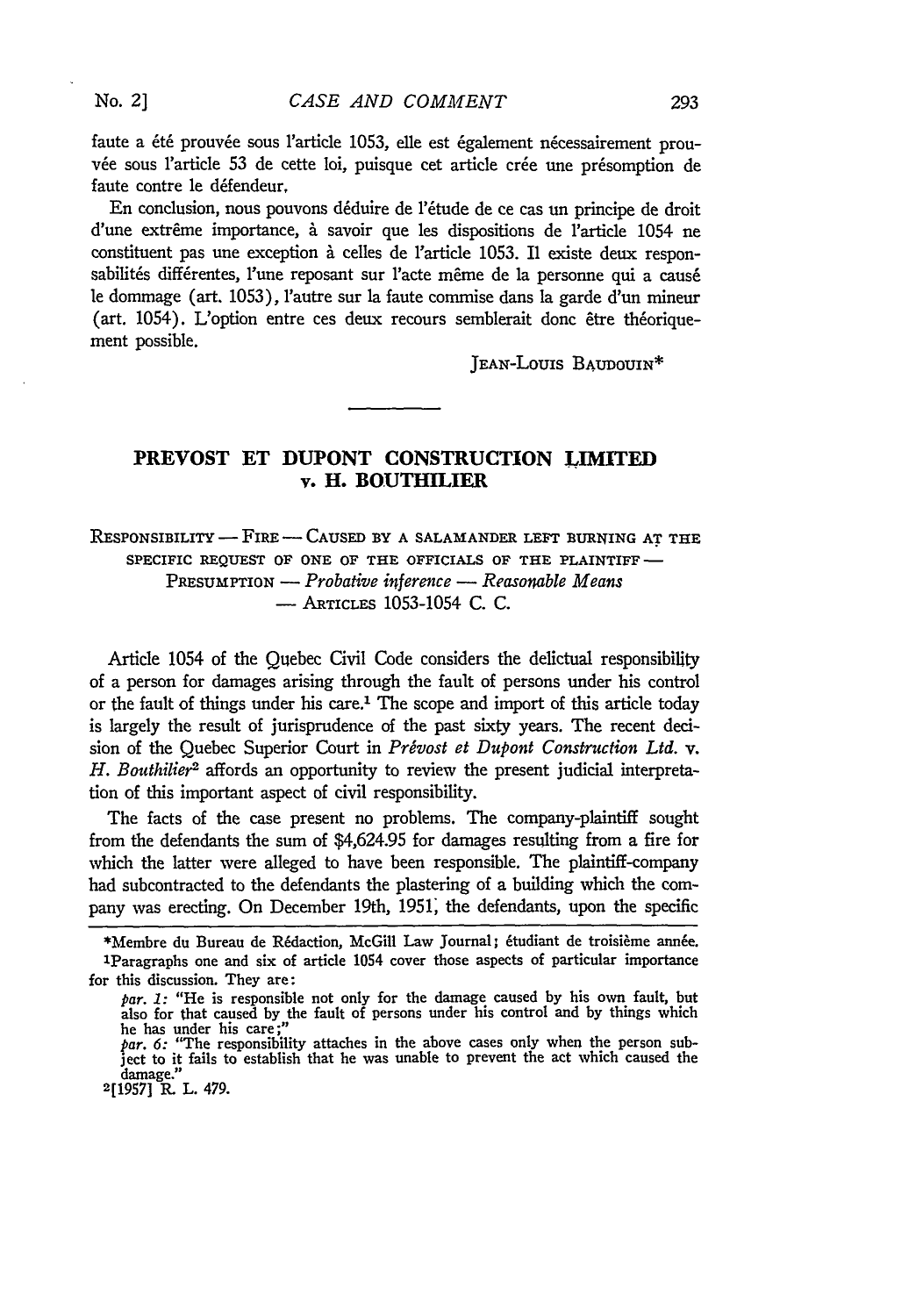**No.** *2]*

faute a été prouvée sous l'article 1053, elle est également nécessairement prouvée sous l'article 53 de cette loi, puisque cet article crée une présomption de faute contre le défendeur.

En conclusion, nous pouvons déduire de l'étude de ce cas un principe de droit d'une extrême importance, à savoir que les dispositions de l'article 1054 ne constituent pas une exception à celles de l'article 1053. Il existe deux responsabilités différentes, l'une reposant sur l'acte même de la personne qui a causé le dommage (art. 1053), Iautre sur la faute commise dans la garde d'un mineur (art. 1054). L'option entre ces deux recours semblerait donc être théoriquement possible.

JEAN-LouIs BAUDOUIN\*

293

## **PREVOST ET DUPONT CONSTRUCTION LIMITED** v. **H. BOUTHILIER**

**RESPONSIBILITY** - FIRE **-** CAUSED **BY A SALAMANDER** LEFT BURNING **AT** THE SPECIFIC REQUEST OF ONE OF THE OFFICIALS OF THE PLAINTIFF-PREsUMPTION **-** *Probative inference* **-** *Reasonable Means* - ARTICLES 1053-1054 C. C.

Article 1054 of the Quebec Civil Code considers the delictual responsibility of a person for damages arising through the fault of persons under his control or the fault of things under his care.<sup>1</sup> The scope and import of this article today is largely the result of jurisprudence of the past sixty years. The recent decision of the Quebec Superior Court in *Privost et Dupont Construction Ltd.* v. *H. Bouthilier2* affords an opportunity to review the present judicial interpretation of this important aspect of civil responsibility.

The facts of the case present no problems. The company-plaintiff sought from the defendants the sum of \$4,624.95 for damages resulting from a fire for which the latter were alleged to have been responsible. The plaintiff-company had subcontracted to the defendants the plastering of a building which the company was erecting. On December 19th, **1951,** the defendants, upon the specific

<sup>\*</sup>Membre du Bureau de Rédaction, McGill Law Journal; étudiant de troisième année. 'Paragraphs one and six of article 1054 cover those aspects of particular importance for this discussion. They are:

*par.* 1: "He is responsible not only for the damage caused **by** his own fault, but also for that caused **by** the fault of persons under his control and **by** things which he has under his care;"

*par. 6:* "The responsibility attaches in the above cases only when the person subject to it fails to establish that he was unable to prevent the act which caused the damage." **2[1957] R.** L. 479.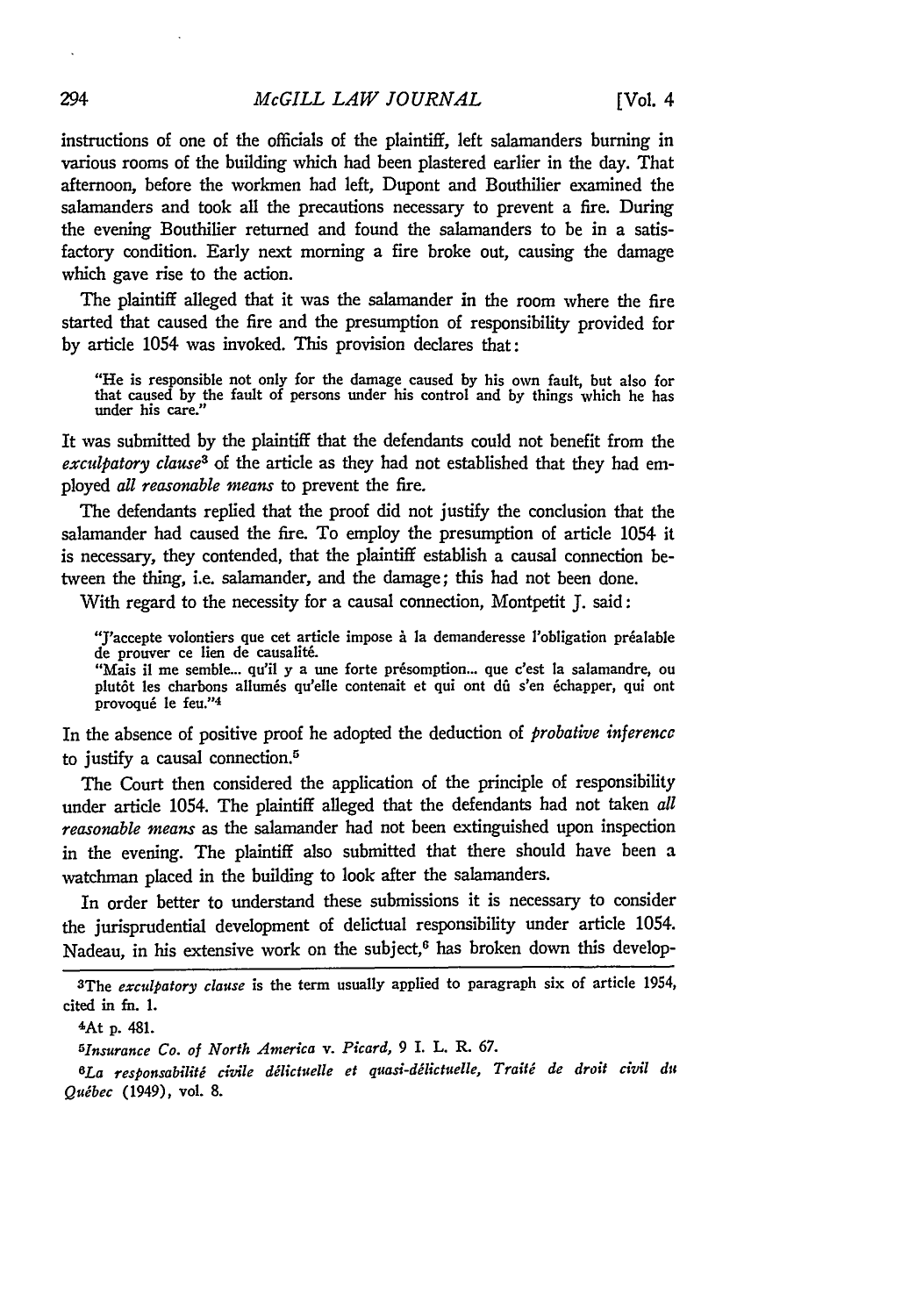instructions of one of the officials of the plaintiff, left salamanders burning in various rooms of the building which had been plastered earlier in the day. That afternoon, before the workmen **had** left, Dupont and Bouthilier examined the salamanders and took all the precautions necessary to prevent a fire. During the evening Bouthilier returned and found the salamanders to be in a satisfactory condition. Early next morning a fire broke out, causing the damage which gave rise to the action.

The plaintiff alleged that it was the salamander in the room where the fire started that caused the fire and the presumption of responsibility provided for **by** article 1054 was invoked. This provision declares that:

"He is responsible not only for the damage caused **by** his own fault, but also for that caused **by** the fault of persons under his control and **by** things which he has under his care."

It was submitted **by** the plaintiff that the defendants could not benefit from the *exculpatory clause3* of the article as they had not established that they had employed *all reasonable means* to prevent the fire.

The defendants replied that the proof did not justify the conclusion that the salamander had caused the fire. To employ the presumption of article 1054 it is necessary, they contended, that the plaintiff establish a causal connection between the thing, i.e. salamander, and the damage; this had not been done.

With regard to the necessity for a causal connection, Montpetit **J.** said:

"J'accepte volontiers que cet article impose à la demanderesse l'obligation préalable de prouver ce lien de causalité.

"Mais **il** me semble... qu'il **y** a une forte pr6somption... que c'est **la** salamandre, ou plutôt les charbons allumés qu'elle contenait et qui ont dû s'en échapper, qui ont provoqué le feu."<sup>4</sup>

In the absence of positive proof he adopted the deduction of *probative inference* to justify a causal connection.<sup>5</sup>

The Court then considered the application of the principle of responsibility under article 1054. The plaintiff alleged that the defendants had not taken *all reasonable means* as the salamander had not been extinguished upon inspection in the evening. The plaintiff also submitted that there should have been a watchman placed in the building to look after the salamanders.

In order better to understand these submissions it is necessary to consider the jurisprudential development of delictual responsibility under article 1054. Nadeau, in his extensive work on the subject, $6$  has broken down this develop-

 $6La$  responsabilité civile délictuelle et quasi-délictuelle, Traité de droit civil du *Qudbec* (1949), vol. **8.**

<sup>3</sup>The *exculpatory clause* is the term usually applied to paragraph six of article 1954, cited in fn. **1.**

<sup>&#</sup>x27;At **p.** 481.

*<sup>5</sup> Insurance Co. of North America v. Picard,* 9 *I.* L. R. **67.**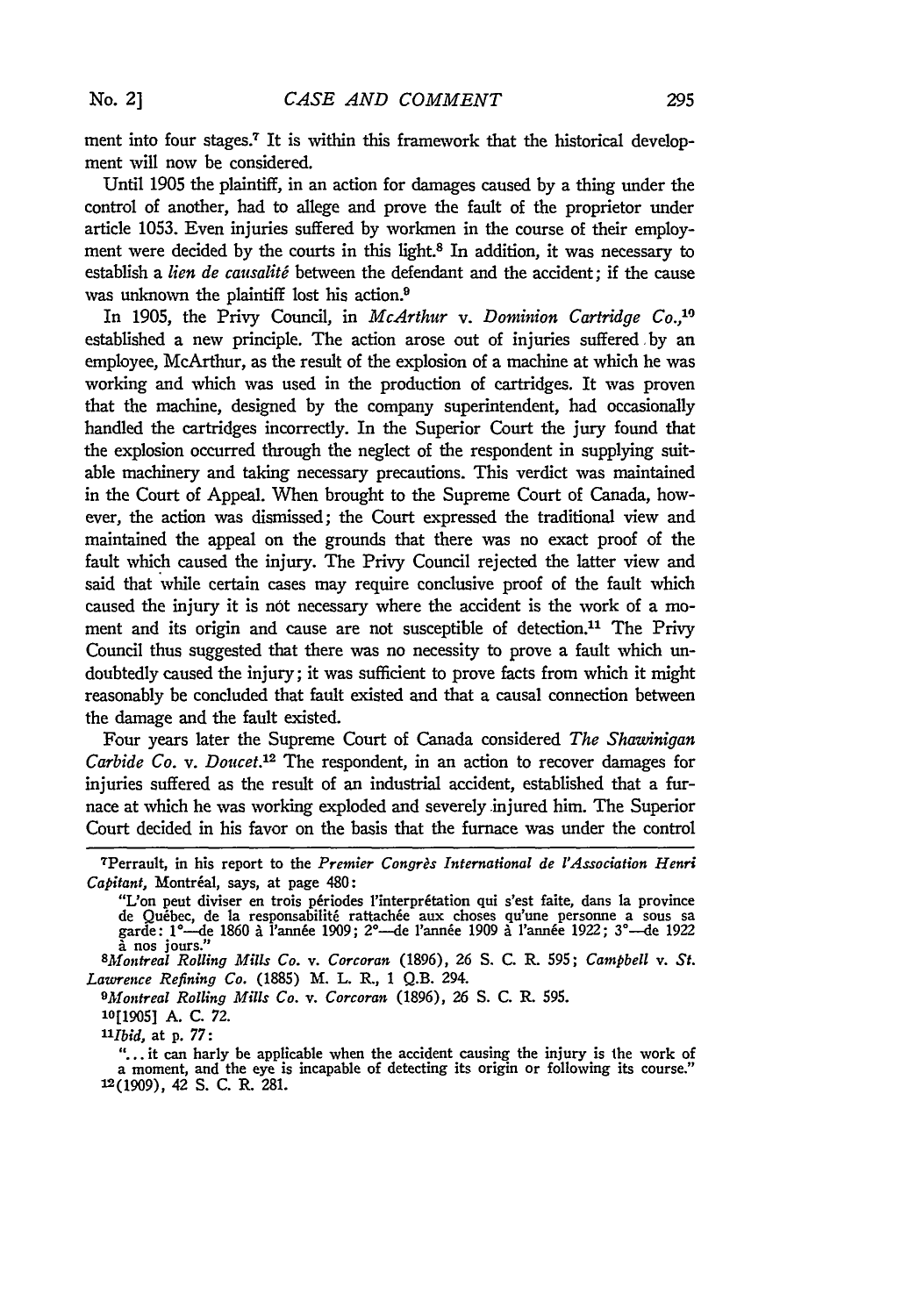ment into four stages.<sup>7</sup> It is within this framework that the historical development will now be considered.

Until 1905 the plaintiff, in an action for damages caused by a thing under the control of another, had to allege and prove the fault of the proprietor under article 1053. Even injuries suffered by workmen in the course of their employment were decided by the courts in this light.8 In addition, it was necessary to establish a *lien de causalité* between the defendant and the accident; if the cause was unknown the plaintiff lost his action.<sup>9</sup>

In 1905, the Privy Council, in *McArthur* v. Dominion Cartridge Co.,<sup>19</sup> established a new principle. The action arose out of injuries suffered by an employee, McArthur, as the result of the explosion of a machine at which he was working and which was used in the production of cartridges. It was proven that the machine, designed by the company superintendent, had occasionally handled the cartridges incorrectly. In the Superior Court the jury found that the explosion occurred through the neglect of the respondent in supplying suitable machinery and taking necessary precautions. This verdict was maintained in the Court of Appeal. When brought to the Supreme Court of Canada, however, the action was dismissed; the Court expressed the traditional view and maintained the appeal on the grounds that there was no exact proof of the fault which caused the injury. The Privy Council rejected the latter view and said that while certain cases may require conclusive proof of the fault which caused the injury it is not necessary where the accident is the work of a moment and its origin and cause are not susceptible of detection.<sup>11</sup> The Privy Council thus suggested that there was no necessity to prove a fault which undoubtedly caused the injury; it was sufficient to prove facts from which it might reasonably be concluded that fault existed and that a causal connection between the damage and the fault existed.

Four years later the Supreme Court of Canada considered *The Shawinigan Carbide Co. v. Doucet.12* The respondent, in an action to recover damages for injuries suffered as the result of an industrial accident, established that a furnace at which he was working exploded and severely injured him. The Superior Court decided in his favor on the basis that the furnace was under the control

*9Montreal Rolling Mills Co. v. Corcoran* (1896), **26** S. C. R. 595.

*1'Ibid,* at p. 77:

"... it can harly be applicable when the accident causing the injury is the work of a moment, and the eye is incapable of detecting its origin or following its course." **12(1909),** 42 **S. C.** R. **281.**

<sup>7</sup>Perrault, in his report to the *Premier Congrts International de l'Association Henri Capitant*, Montréal, says, at page 480:

**<sup>&</sup>quot;L'on** peut diviser en **trois** p~riodes l'interpr~tation qui s'est faite, dats **la** province de Quebec, de **la** responsabilit6 rattach&e aux choses qu'une personne a sous sa garde: 1°--de 1860/ l'ann&e **1909;** 2°-de 1'annie 1909 a l'annie **1922; 3°-de 1922** nos jours." *SMontreal Rolling Mills Co. v. Corcoran* (1896), **26** S. C. R. **595;** *Campbell v. St.*

*Lawrence Refining Co.* (1885) M. L. R., 1 Q.B. 294.

**<sup>10[1905]</sup>** A. C. **72.**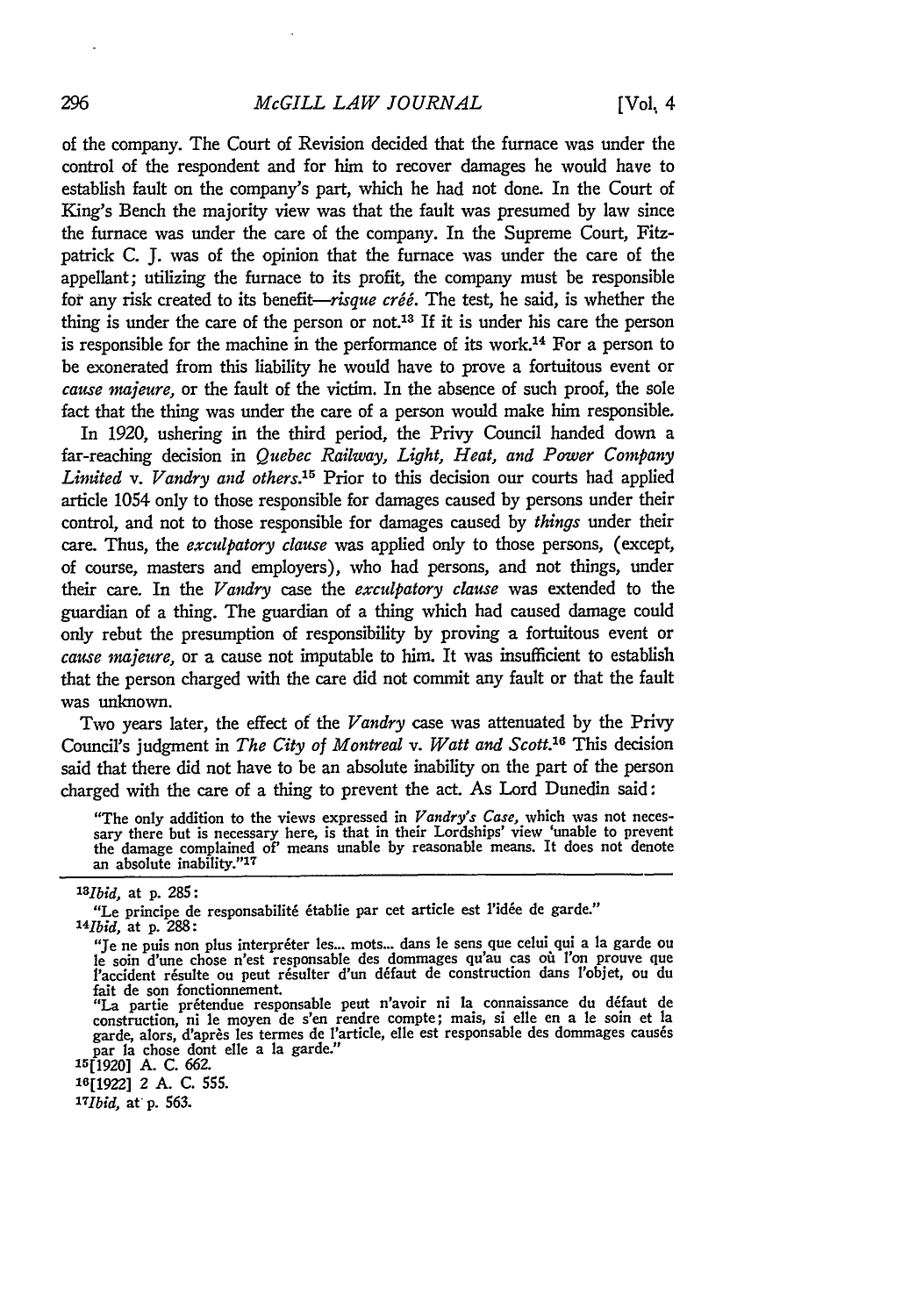## *McGILL LAW JOURNAL*

of the company. The Court of Revision decided that the furnace was under the control of the respondent and for him to recover damages he would have to establish fault on the company's part, which he had not done. In the Court of King's Bench the majority view was that the fault was presumed by law since the furnace was under the care of the company. In the Supreme Court, Fitzpatrick **C.** J. was of the opinion that the furnace was under the care of the appellant; utilizing the furnace to its profit, the company must be responsible for any risk created to its benefit-risque créé. The test, he said, is whether the thing is under the care of the person or not.<sup>13</sup> If it is under his care the person is responsible for the machine in the performance of its work.14 For a person to be exonerated from this liability he would have to prove a fortuitous event or *cause majeure,* or the fault of the victim. In the absence of such proof, the sole fact that the thing was under the care of a person would make him responsible.

In 1920, ushering in the third period, the Privy Council handed down a far-reaching decision in *Quebec Railway, Light, Heat, and Power Company Limited v. Vandry and others.15* Prior to this decision our courts had applied article 1054 only to those responsible for damages caused by persons under their control, and not to those responsible for damages caused by *things* under their care. Thus, the *exculpatory clause* was applied only to those persons, (except, of course, masters and employers), who had persons, and not things, under their care. In the *Vandry* case the *exculpatory clause* was extended to the guardian of a thing. The guardian of a thing which had caused damage could only rebut the presumption of responsibility by proving a fortuitous event or *cause majeure,* or a cause not imputable to him. It was insufficient to establish that the person charged with the care did not commit any fault or that the fault was unknown.

Two years later, the effect of the *Vandry* case was attenuated by the Privy Council's judgment in *The City of Montreal v. Watt and Scott.'6* This decision said that there did not have to be an absolute inability on the part of the person charged with the care of a thing to prevent the act. As Lord Dunedin said:

"The only addition to the views expressed in *Vandry's Case,* which was not necessary there but is necessary here, is that in their Lordships' view 'unable to prevent the damage complained **of'** means unable **by** reasonable means. It does not denote an absolute inability."17

**16[1922]** 2 A. *C.* 555.

*3-Ibid,* at p. **563.**

*<sup>1</sup> <sup>3</sup> bid,* at **p. 285:**

<sup>&</sup>quot;Le principe de responsabilité établie par cet article est l'idée de garde." *1 4 lbid,* at p. 288:

<sup>&</sup>quot;Je ne puis non plus interpreter les... mots... dans le sens que celui qui a la garde ou le soin d'une chose n'est responsable des dommages qu'au cas o i l'on prouve que l'accident résulte ou peut résulter d'un défaut de construction dans l'objet, ou du

fait de son fonctionnement.<br>"La partie prétendue responsable peut n'avoir ni la connaissance du défaut de construction, ni le moyen de s'en rendre compte; mais, si elle en a le soin et la<br>garde, alors, d'après les termes de l'article, elle est responsable des dommages causés par la chose dont elle a la garde." 15[1920] A. C. 662.